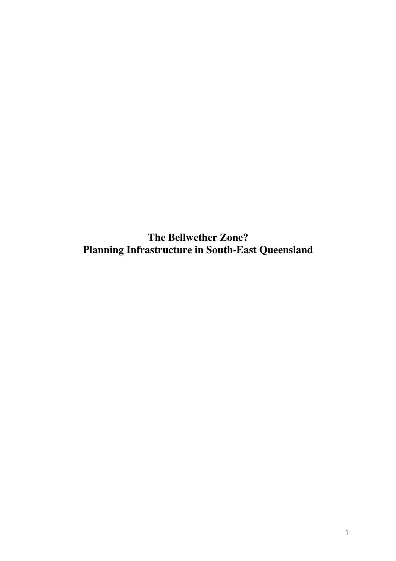**The Bellwether Zone? Planning Infrastructure in South-East Queensland**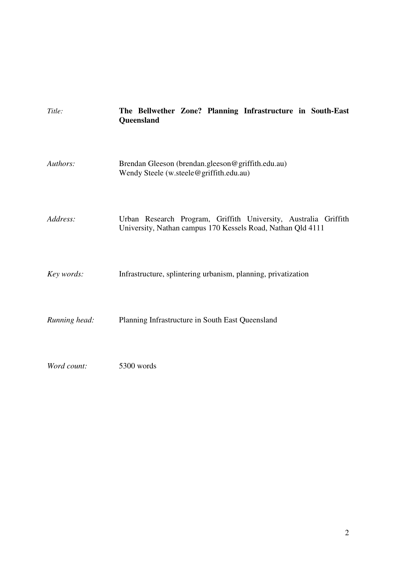| Title:        | The Bellwether Zone? Planning Infrastructure in South-East<br>Queensland                                                       |
|---------------|--------------------------------------------------------------------------------------------------------------------------------|
| Authors:      | Brendan Gleeson (brendan.gleeson@griffith.edu.au)<br>Wendy Steele (w.steele@griffith.edu.au)                                   |
| Address:      | Urban Research Program, Griffith University, Australia Griffith<br>University, Nathan campus 170 Kessels Road, Nathan Qld 4111 |
| Key words:    | Infrastructure, splintering urbanism, planning, privatization                                                                  |
| Running head: | Planning Infrastructure in South East Queensland                                                                               |
| Word count:   | 5300 words                                                                                                                     |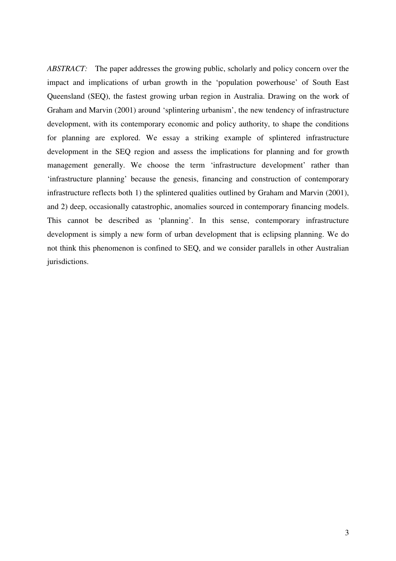*ABSTRACT:* The paper addresses the growing public, scholarly and policy concern over the impact and implications of urban growth in the 'population powerhouse' of South East Queensland (SEQ), the fastest growing urban region in Australia. Drawing on the work of Graham and Marvin (2001) around 'splintering urbanism', the new tendency of infrastructure development, with its contemporary economic and policy authority, to shape the conditions for planning are explored. We essay a striking example of splintered infrastructure development in the SEQ region and assess the implications for planning and for growth management generally. We choose the term 'infrastructure development' rather than 'infrastructure planning' because the genesis, financing and construction of contemporary infrastructure reflects both 1) the splintered qualities outlined by Graham and Marvin (2001), and 2) deep, occasionally catastrophic, anomalies sourced in contemporary financing models. This cannot be described as 'planning'. In this sense, contemporary infrastructure development is simply a new form of urban development that is eclipsing planning. We do not think this phenomenon is confined to SEQ, and we consider parallels in other Australian jurisdictions.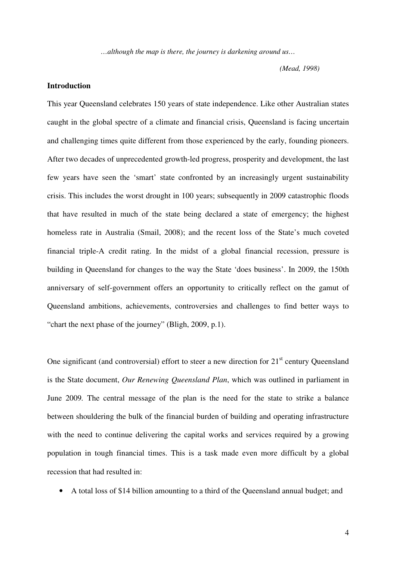*…although the map is there, the journey is darkening around us…*

*(Mead, 1998)*

## **Introduction**

This year Queensland celebrates 150 years of state independence. Like other Australian states caught in the global spectre of a climate and financial crisis, Queensland is facing uncertain and challenging times quite different from those experienced by the early, founding pioneers. After two decades of unprecedented growth-led progress, prosperity and development, the last few years have seen the 'smart' state confronted by an increasingly urgent sustainability crisis. This includes the worst drought in 100 years; subsequently in 2009 catastrophic floods that have resulted in much of the state being declared a state of emergency; the highest homeless rate in Australia (Smail, 2008); and the recent loss of the State's much coveted financial triple-A credit rating. In the midst of a global financial recession, pressure is building in Queensland for changes to the way the State 'does business'. In 2009, the 150th anniversary of self-government offers an opportunity to critically reflect on the gamut of Queensland ambitions, achievements, controversies and challenges to find better ways to "chart the next phase of the journey" (Bligh, 2009, p.1).

One significant (and controversial) effort to steer a new direction for 21<sup>st</sup> century Queensland is the State document, *Our Renewing Queensland Plan*, which was outlined in parliament in June 2009*.* The central message of the plan is the need for the state to strike a balance between shouldering the bulk of the financial burden of building and operating infrastructure with the need to continue delivering the capital works and services required by a growing population in tough financial times. This is a task made even more difficult by a global recession that had resulted in:

• A total loss of \$14 billion amounting to a third of the Queensland annual budget; and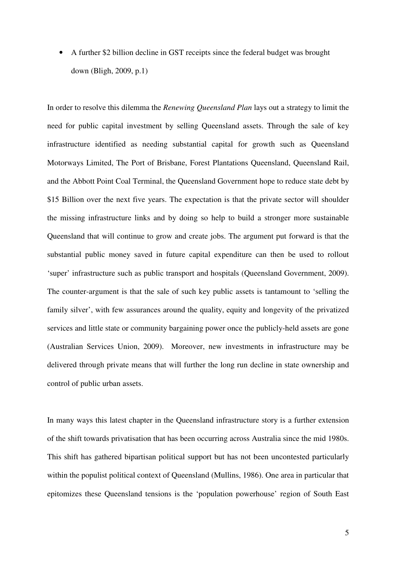• A further \$2 billion decline in GST receipts since the federal budget was brought down (Bligh, 2009, p.1)

In order to resolve this dilemma the *Renewing Queensland Plan* lays out a strategy to limit the need for public capital investment by selling Queensland assets. Through the sale of key infrastructure identified as needing substantial capital for growth such as Queensland Motorways Limited, The Port of Brisbane, Forest Plantations Queensland, Queensland Rail, and the Abbott Point Coal Terminal, the Queensland Government hope to reduce state debt by \$15 Billion over the next five years. The expectation is that the private sector will shoulder the missing infrastructure links and by doing so help to build a stronger more sustainable Queensland that will continue to grow and create jobs. The argument put forward is that the substantial public money saved in future capital expenditure can then be used to rollout 'super' infrastructure such as public transport and hospitals (Queensland Government, 2009). The counter-argument is that the sale of such key public assets is tantamount to 'selling the family silver', with few assurances around the quality, equity and longevity of the privatized services and little state or community bargaining power once the publicly-held assets are gone (Australian Services Union, 2009). Moreover, new investments in infrastructure may be delivered through private means that will further the long run decline in state ownership and control of public urban assets.

In many ways this latest chapter in the Queensland infrastructure story is a further extension of the shift towards privatisation that has been occurring across Australia since the mid 1980s. This shift has gathered bipartisan political support but has not been uncontested particularly within the populist political context of Queensland (Mullins, 1986). One area in particular that epitomizes these Queensland tensions is the 'population powerhouse' region of South East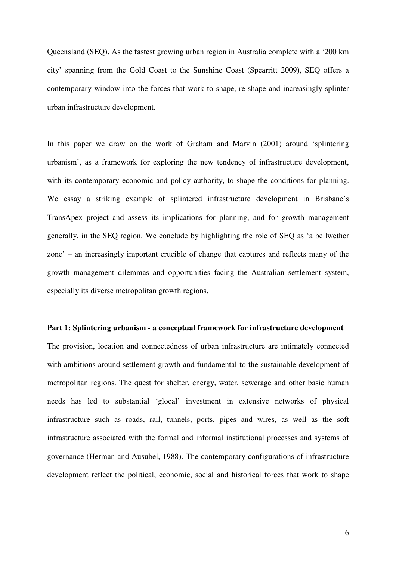Queensland (SEQ). As the fastest growing urban region in Australia complete with a '200 km city' spanning from the Gold Coast to the Sunshine Coast (Spearritt 2009), SEQ offers a contemporary window into the forces that work to shape, re-shape and increasingly splinter urban infrastructure development.

In this paper we draw on the work of Graham and Marvin (2001) around 'splintering urbanism', as a framework for exploring the new tendency of infrastructure development, with its contemporary economic and policy authority, to shape the conditions for planning. We essay a striking example of splintered infrastructure development in Brisbane's TransApex project and assess its implications for planning, and for growth management generally, in the SEQ region. We conclude by highlighting the role of SEQ as 'a bellwether zone' – an increasingly important crucible of change that captures and reflects many of the growth management dilemmas and opportunities facing the Australian settlement system, especially its diverse metropolitan growth regions.

#### **Part 1: Splintering urbanism - a conceptual framework for infrastructure development**

The provision, location and connectedness of urban infrastructure are intimately connected with ambitions around settlement growth and fundamental to the sustainable development of metropolitan regions. The quest for shelter, energy, water, sewerage and other basic human needs has led to substantial 'glocal' investment in extensive networks of physical infrastructure such as roads, rail, tunnels, ports, pipes and wires, as well as the soft infrastructure associated with the formal and informal institutional processes and systems of governance (Herman and Ausubel, 1988). The contemporary configurations of infrastructure development reflect the political, economic, social and historical forces that work to shape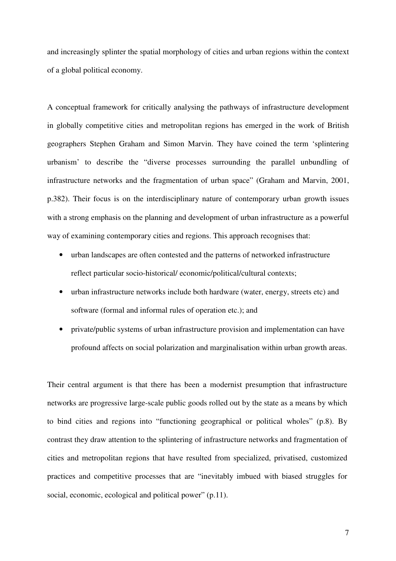and increasingly splinter the spatial morphology of cities and urban regions within the context of a global political economy.

A conceptual framework for critically analysing the pathways of infrastructure development in globally competitive cities and metropolitan regions has emerged in the work of British geographers Stephen Graham and Simon Marvin. They have coined the term 'splintering urbanism' to describe the "diverse processes surrounding the parallel unbundling of infrastructure networks and the fragmentation of urban space" (Graham and Marvin, 2001, p.382). Their focus is on the interdisciplinary nature of contemporary urban growth issues with a strong emphasis on the planning and development of urban infrastructure as a powerful way of examining contemporary cities and regions. This approach recognises that:

- urban landscapes are often contested and the patterns of networked infrastructure reflect particular socio-historical/ economic/political/cultural contexts;
- urban infrastructure networks include both hardware (water, energy, streets etc) and software (formal and informal rules of operation etc.); and
- private/public systems of urban infrastructure provision and implementation can have profound affects on social polarization and marginalisation within urban growth areas.

Their central argument is that there has been a modernist presumption that infrastructure networks are progressive large-scale public goods rolled out by the state as a means by which to bind cities and regions into "functioning geographical or political wholes" (p.8). By contrast they draw attention to the splintering of infrastructure networks and fragmentation of cities and metropolitan regions that have resulted from specialized, privatised, customized practices and competitive processes that are "inevitably imbued with biased struggles for social, economic, ecological and political power" (p.11).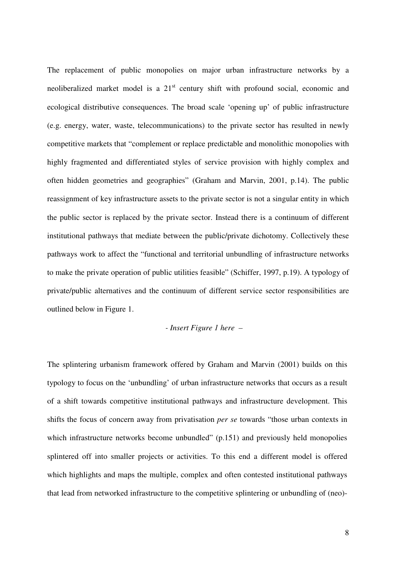The replacement of public monopolies on major urban infrastructure networks by a neoliberalized market model is a 21<sup>st</sup> century shift with profound social, economic and ecological distributive consequences. The broad scale 'opening up' of public infrastructure (e.g. energy, water, waste, telecommunications) to the private sector has resulted in newly competitive markets that "complement or replace predictable and monolithic monopolies with highly fragmented and differentiated styles of service provision with highly complex and often hidden geometries and geographies" (Graham and Marvin, 2001, p.14). The public reassignment of key infrastructure assets to the private sector is not a singular entity in which the public sector is replaced by the private sector. Instead there is a continuum of different institutional pathways that mediate between the public/private dichotomy. Collectively these pathways work to affect the "functional and territorial unbundling of infrastructure networks to make the private operation of public utilities feasible" (Schiffer, 1997, p.19). A typology of private/public alternatives and the continuum of different service sector responsibilities are outlined below in Figure 1.

## *- Insert Figure 1 here –*

The splintering urbanism framework offered by Graham and Marvin (2001) builds on this typology to focus on the 'unbundling' of urban infrastructure networks that occurs as a result of a shift towards competitive institutional pathways and infrastructure development. This shifts the focus of concern away from privatisation *per se* towards "those urban contexts in which infrastructure networks become unbundled" (p.151) and previously held monopolies splintered off into smaller projects or activities. To this end a different model is offered which highlights and maps the multiple, complex and often contested institutional pathways that lead from networked infrastructure to the competitive splintering or unbundling of (neo)-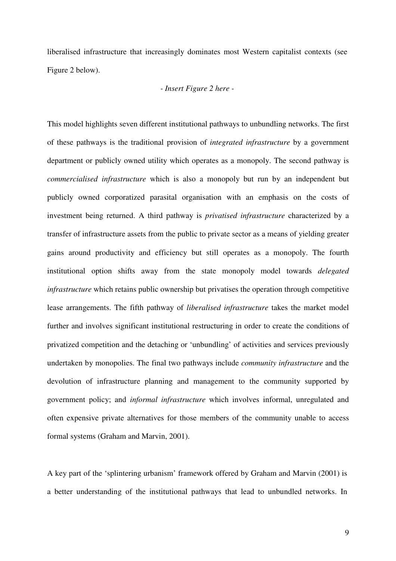liberalised infrastructure that increasingly dominates most Western capitalist contexts (see Figure 2 below).

### *- Insert Figure 2 here -*

This model highlights seven different institutional pathways to unbundling networks. The first of these pathways is the traditional provision of *integrated infrastructure* by a government department or publicly owned utility which operates as a monopoly. The second pathway is *commercialised infrastructure* which is also a monopoly but run by an independent but publicly owned corporatized parasital organisation with an emphasis on the costs of investment being returned. A third pathway is *privatised infrastructure* characterized by a transfer of infrastructure assets from the public to private sector as a means of yielding greater gains around productivity and efficiency but still operates as a monopoly. The fourth institutional option shifts away from the state monopoly model towards *delegated infrastructure* which retains public ownership but privatises the operation through competitive lease arrangements. The fifth pathway of *liberalised infrastructure* takes the market model further and involves significant institutional restructuring in order to create the conditions of privatized competition and the detaching or 'unbundling' of activities and services previously undertaken by monopolies. The final two pathways include *community infrastructure* and the devolution of infrastructure planning and management to the community supported by government policy; and *informal infrastructure* which involves informal, unregulated and often expensive private alternatives for those members of the community unable to access formal systems (Graham and Marvin, 2001).

A key part of the 'splintering urbanism' framework offered by Graham and Marvin (2001) is a better understanding of the institutional pathways that lead to unbundled networks. In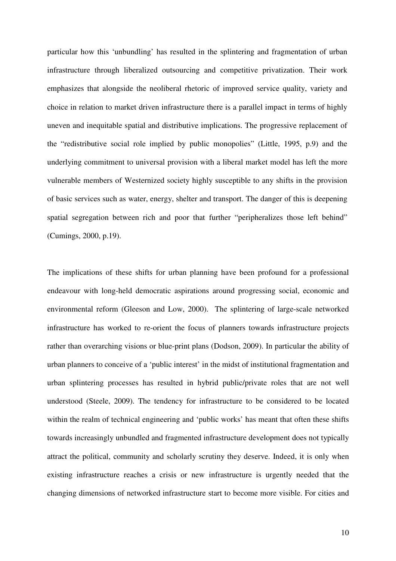particular how this 'unbundling' has resulted in the splintering and fragmentation of urban infrastructure through liberalized outsourcing and competitive privatization. Their work emphasizes that alongside the neoliberal rhetoric of improved service quality, variety and choice in relation to market driven infrastructure there is a parallel impact in terms of highly uneven and inequitable spatial and distributive implications. The progressive replacement of the "redistributive social role implied by public monopolies" (Little, 1995, p.9) and the underlying commitment to universal provision with a liberal market model has left the more vulnerable members of Westernized society highly susceptible to any shifts in the provision of basic services such as water, energy, shelter and transport. The danger of this is deepening spatial segregation between rich and poor that further "peripheralizes those left behind" (Cumings, 2000, p.19).

The implications of these shifts for urban planning have been profound for a professional endeavour with long-held democratic aspirations around progressing social, economic and environmental reform (Gleeson and Low, 2000). The splintering of large-scale networked infrastructure has worked to re-orient the focus of planners towards infrastructure projects rather than overarching visions or blue-print plans (Dodson, 2009). In particular the ability of urban planners to conceive of a 'public interest' in the midst of institutional fragmentation and urban splintering processes has resulted in hybrid public/private roles that are not well understood (Steele, 2009). The tendency for infrastructure to be considered to be located within the realm of technical engineering and 'public works' has meant that often these shifts towards increasingly unbundled and fragmented infrastructure development does not typically attract the political, community and scholarly scrutiny they deserve. Indeed, it is only when existing infrastructure reaches a crisis or new infrastructure is urgently needed that the changing dimensions of networked infrastructure start to become more visible. For cities and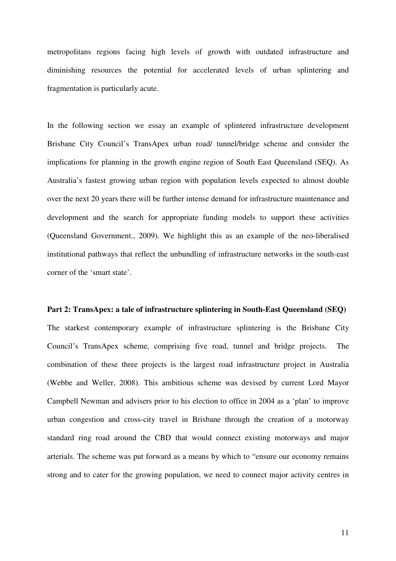metropolitans regions facing high levels of growth with outdated infrastructure and diminishing resources the potential for accelerated levels of urban splintering and fragmentation is particularly acute.

In the following section we essay an example of splintered infrastructure development Brisbane City Council's TransApex urban road/ tunnel/bridge scheme and consider the implications for planning in the growth engine region of South East Queensland (SEQ). As Australia's fastest growing urban region with population levels expected to almost double over the next 20 years there will be further intense demand for infrastructure maintenance and development and the search for appropriate funding models to support these activities (Queensland Government., 2009). We highlight this as an example of the neo-liberalised institutional pathways that reflect the unbundling of infrastructure networks in the south-east corner of the 'smart state'.

#### **Part 2: TransApex: a tale of infrastructure splintering in South-East Queensland (SEQ)**

The starkest contemporary example of infrastructure splintering is the Brisbane City Council's TransApex scheme, comprising five road, tunnel and bridge projects. The combination of these three projects is the largest road infrastructure project in Australia (Webbe and Weller, 2008). This ambitious scheme was devised by current Lord Mayor Campbell Newman and advisers prior to his election to office in 2004 as a 'plan' to improve urban congestion and cross-city travel in Brisbane through the creation of a motorway standard ring road around the CBD that would connect existing motorways and major arterials. The scheme was put forward as a means by which to "ensure our economy remains strong and to cater for the growing population, we need to connect major activity centres in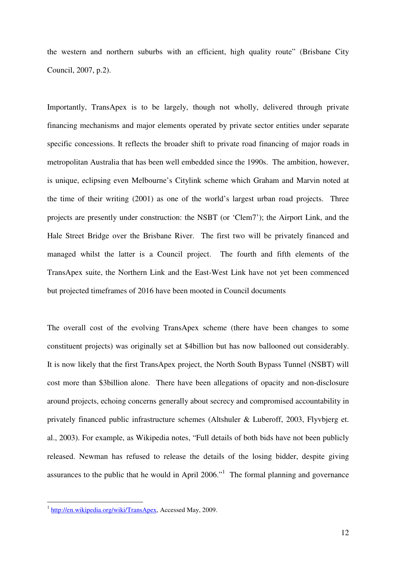the western and northern suburbs with an efficient, high quality route" (Brisbane City Council, 2007, p.2).

Importantly, TransApex is to be largely, though not wholly, delivered through private financing mechanisms and major elements operated by private sector entities under separate specific concessions. It reflects the broader shift to private road financing of major roads in metropolitan Australia that has been well embedded since the 1990s. The ambition, however, is unique, eclipsing even Melbourne's Citylink scheme which Graham and Marvin noted at the time of their writing (2001) as one of the world's largest urban road projects. Three projects are presently under construction: the NSBT (or 'Clem7'); the Airport Link, and the Hale Street Bridge over the Brisbane River. The first two will be privately financed and managed whilst the latter is a Council project. The fourth and fifth elements of the TransApex suite, the Northern Link and the East-West Link have not yet been commenced but projected timeframes of 2016 have been mooted in Council documents

The overall cost of the evolving TransApex scheme (there have been changes to some constituent projects) was originally set at \$4billion but has now ballooned out considerably. It is now likely that the first TransApex project, the North South Bypass Tunnel (NSBT) will cost more than \$3billion alone. There have been allegations of opacity and non-disclosure around projects, echoing concerns generally about secrecy and compromised accountability in privately financed public infrastructure schemes (Altshuler & Luberoff, 2003, Flyvbjerg et. al., 2003). For example, as Wikipedia notes, "Full details of both bids have not been publicly released. Newman has refused to release the details of the losing bidder, despite giving assurances to the public that he would in April 2006."<sup>1</sup> The formal planning and governance

<sup>&</sup>lt;sup>1</sup> http://en.wikipedia.org/wiki/TransApex, Accessed May, 2009.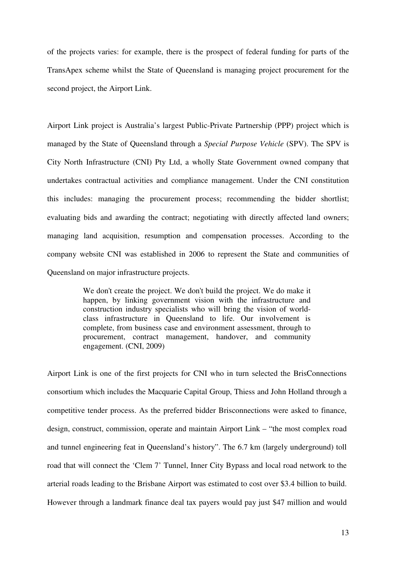of the projects varies: for example, there is the prospect of federal funding for parts of the TransApex scheme whilst the State of Queensland is managing project procurement for the second project, the Airport Link.

Airport Link project is Australia's largest Public-Private Partnership (PPP) project which is managed by the State of Queensland through a *Special Purpose Vehicle* (SPV). The SPV is City North Infrastructure (CNI) Pty Ltd, a wholly State Government owned company that undertakes contractual activities and compliance management. Under the CNI constitution this includes: managing the procurement process; recommending the bidder shortlist; evaluating bids and awarding the contract; negotiating with directly affected land owners; managing land acquisition, resumption and compensation processes. According to the company website CNI was established in 2006 to represent the State and communities of Queensland on major infrastructure projects.

> We don't create the project. We don't build the project. We do make it happen, by linking government vision with the infrastructure and construction industry specialists who will bring the vision of worldclass infrastructure in Queensland to life. Our involvement is complete, from business case and environment assessment, through to procurement, contract management, handover, and community engagement. (CNI, 2009)

Airport Link is one of the first projects for CNI who in turn selected the BrisConnections consortium which includes the Macquarie Capital Group, Thiess and John Holland through a competitive tender process. As the preferred bidder Brisconnections were asked to finance, design, construct, commission, operate and maintain Airport Link – "the most complex road and tunnel engineering feat in Queensland's history". The 6.7 km (largely underground) toll road that will connect the 'Clem 7' Tunnel, Inner City Bypass and local road network to the arterial roads leading to the Brisbane Airport was estimated to cost over \$3.4 billion to build. However through a landmark finance deal tax payers would pay just \$47 million and would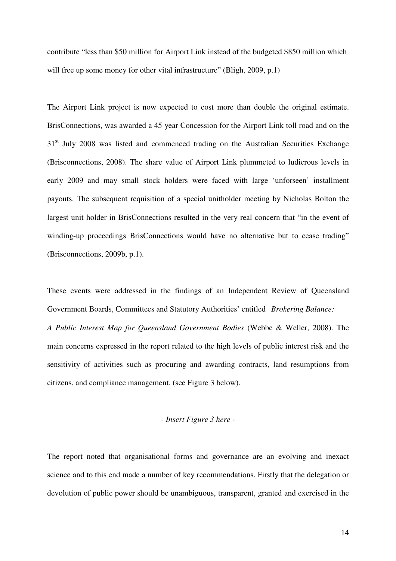contribute "less than \$50 million for Airport Link instead of the budgeted \$850 million which will free up some money for other vital infrastructure" (Bligh, 2009, p.1)

The Airport Link project is now expected to cost more than double the original estimate. BrisConnections, was awarded a 45 year Concession for the Airport Link toll road and on the 31<sup>st</sup> July 2008 was listed and commenced trading on the Australian Securities Exchange (Brisconnections, 2008). The share value of Airport Link plummeted to ludicrous levels in early 2009 and may small stock holders were faced with large 'unforseen' installment payouts. The subsequent requisition of a special unitholder meeting by Nicholas Bolton the largest unit holder in BrisConnections resulted in the very real concern that "in the event of winding-up proceedings BrisConnections would have no alternative but to cease trading" (Brisconnections, 2009b, p.1).

These events were addressed in the findings of an Independent Review of Queensland Government Boards, Committees and Statutory Authorities' entitled *Brokering Balance: A Public Interest Map for Queensland Government Bodies* (Webbe & Weller, 2008). The main concerns expressed in the report related to the high levels of public interest risk and the sensitivity of activities such as procuring and awarding contracts, land resumptions from citizens, and compliance management. (see Figure 3 below).

# *- Insert Figure 3 here -*

The report noted that organisational forms and governance are an evolving and inexact science and to this end made a number of key recommendations. Firstly that the delegation or devolution of public power should be unambiguous, transparent, granted and exercised in the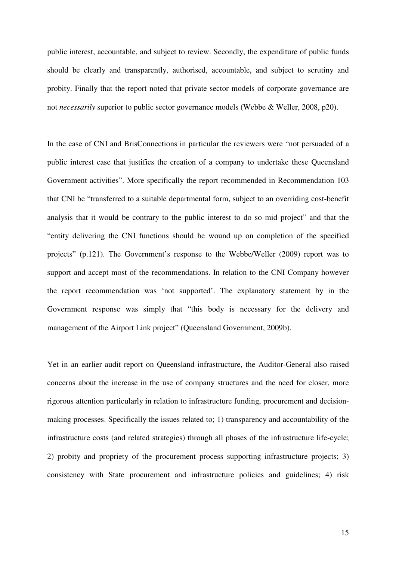public interest, accountable, and subject to review. Secondly, the expenditure of public funds should be clearly and transparently, authorised, accountable, and subject to scrutiny and probity. Finally that the report noted that private sector models of corporate governance are not *necessarily* superior to public sector governance models (Webbe & Weller, 2008, p20).

In the case of CNI and BrisConnections in particular the reviewers were "not persuaded of a public interest case that justifies the creation of a company to undertake these Queensland Government activities". More specifically the report recommended in Recommendation 103 that CNI be "transferred to a suitable departmental form, subject to an overriding cost-benefit analysis that it would be contrary to the public interest to do so mid project" and that the "entity delivering the CNI functions should be wound up on completion of the specified projects" (p.121). The Government's response to the Webbe/Weller (2009) report was to support and accept most of the recommendations. In relation to the CNI Company however the report recommendation was 'not supported'. The explanatory statement by in the Government response was simply that "this body is necessary for the delivery and management of the Airport Link project" (Queensland Government, 2009b).

Yet in an earlier audit report on Queensland infrastructure, the Auditor-General also raised concerns about the increase in the use of company structures and the need for closer, more rigorous attention particularly in relation to infrastructure funding, procurement and decisionmaking processes. Specifically the issues related to; 1) transparency and accountability of the infrastructure costs (and related strategies) through all phases of the infrastructure life-cycle; 2) probity and propriety of the procurement process supporting infrastructure projects; 3) consistency with State procurement and infrastructure policies and guidelines; 4) risk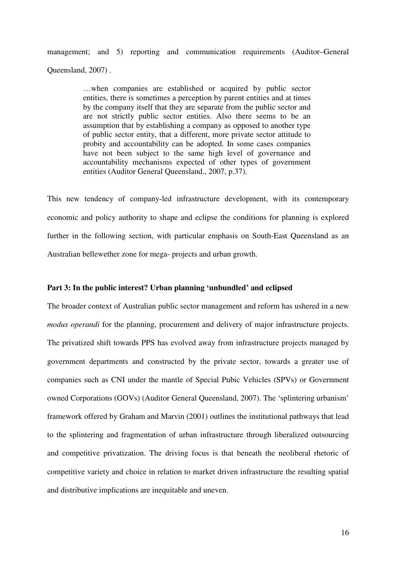management; and 5) reporting and communication requirements (Auditor–General Queensland, 2007) .

> …when companies are established or acquired by public sector entities, there is sometimes a perception by parent entities and at times by the company itself that they are separate from the public sector and are not strictly public sector entities. Also there seems to be an assumption that by establishing a company as opposed to another type of public sector entity, that a different, more private sector attitude to probity and accountability can be adopted. In some cases companies have not been subject to the same high level of governance and accountability mechanisms expected of other types of government entities (Auditor General Queensland., 2007, p.37).

This new tendency of company-led infrastructure development, with its contemporary economic and policy authority to shape and eclipse the conditions for planning is explored further in the following section, with particular emphasis on South-East Queensland as an Australian bellewether zone for mega- projects and urban growth.

## **Part 3: In the public interest? Urban planning 'unbundled' and eclipsed**

The broader context of Australian public sector management and reform has ushered in a new *modus operandi* for the planning, procurement and delivery of major infrastructure projects. The privatized shift towards PPS has evolved away from infrastructure projects managed by government departments and constructed by the private sector, towards a greater use of companies such as CNI under the mantle of Special Pubic Vehicles (SPVs) or Government owned Corporations (GOVs) (Auditor General Queensland, 2007). The 'splintering urbanism' framework offered by Graham and Marvin (2001) outlines the institutional pathways that lead to the splintering and fragmentation of urban infrastructure through liberalized outsourcing and competitive privatization. The driving focus is that beneath the neoliberal rhetoric of competitive variety and choice in relation to market driven infrastructure the resulting spatial and distributive implications are inequitable and uneven.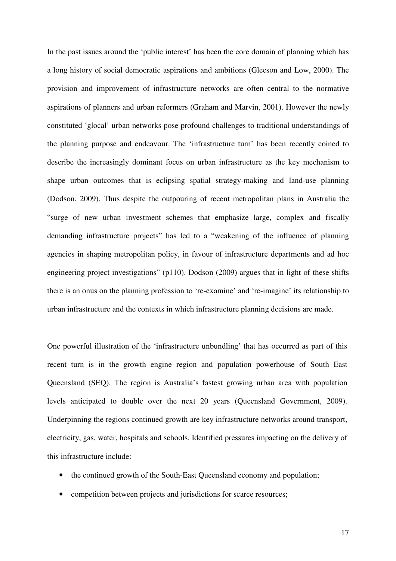In the past issues around the 'public interest' has been the core domain of planning which has a long history of social democratic aspirations and ambitions (Gleeson and Low, 2000). The provision and improvement of infrastructure networks are often central to the normative aspirations of planners and urban reformers (Graham and Marvin, 2001). However the newly constituted 'glocal' urban networks pose profound challenges to traditional understandings of the planning purpose and endeavour. The 'infrastructure turn' has been recently coined to describe the increasingly dominant focus on urban infrastructure as the key mechanism to shape urban outcomes that is eclipsing spatial strategy-making and land-use planning (Dodson, 2009). Thus despite the outpouring of recent metropolitan plans in Australia the "surge of new urban investment schemes that emphasize large, complex and fiscally demanding infrastructure projects" has led to a "weakening of the influence of planning agencies in shaping metropolitan policy, in favour of infrastructure departments and ad hoc engineering project investigations" (p110). Dodson (2009) argues that in light of these shifts there is an onus on the planning profession to 're-examine' and 're-imagine' its relationship to urban infrastructure and the contexts in which infrastructure planning decisions are made.

One powerful illustration of the 'infrastructure unbundling' that has occurred as part of this recent turn is in the growth engine region and population powerhouse of South East Queensland (SEQ). The region is Australia's fastest growing urban area with population levels anticipated to double over the next 20 years (Queensland Government, 2009). Underpinning the regions continued growth are key infrastructure networks around transport, electricity, gas, water, hospitals and schools. Identified pressures impacting on the delivery of this infrastructure include:

- the continued growth of the South-East Queensland economy and population;
- competition between projects and jurisdictions for scarce resources;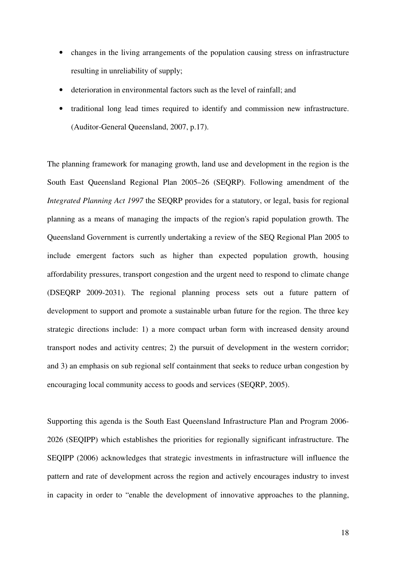- changes in the living arrangements of the population causing stress on infrastructure resulting in unreliability of supply;
- deterioration in environmental factors such as the level of rainfall; and
- traditional long lead times required to identify and commission new infrastructure. (Auditor-General Queensland, 2007, p.17).

The planning framework for managing growth, land use and development in the region is the South East Queensland Regional Plan 2005–26 (SEQRP). Following amendment of the *Integrated Planning Act 1997* the SEQRP provides for a statutory, or legal, basis for regional planning as a means of managing the impacts of the region's rapid population growth. The Queensland Government is currently undertaking a review of the SEQ Regional Plan 2005 to include emergent factors such as higher than expected population growth, housing affordability pressures, transport congestion and the urgent need to respond to climate change (DSEQRP 2009-2031). The regional planning process sets out a future pattern of development to support and promote a sustainable urban future for the region. The three key strategic directions include: 1) a more compact urban form with increased density around transport nodes and activity centres; 2) the pursuit of development in the western corridor; and 3) an emphasis on sub regional self containment that seeks to reduce urban congestion by encouraging local community access to goods and services (SEQRP, 2005).

Supporting this agenda is the South East Queensland Infrastructure Plan and Program 2006- 2026 (SEQIPP) which establishes the priorities for regionally significant infrastructure. The SEQIPP (2006) acknowledges that strategic investments in infrastructure will influence the pattern and rate of development across the region and actively encourages industry to invest in capacity in order to "enable the development of innovative approaches to the planning,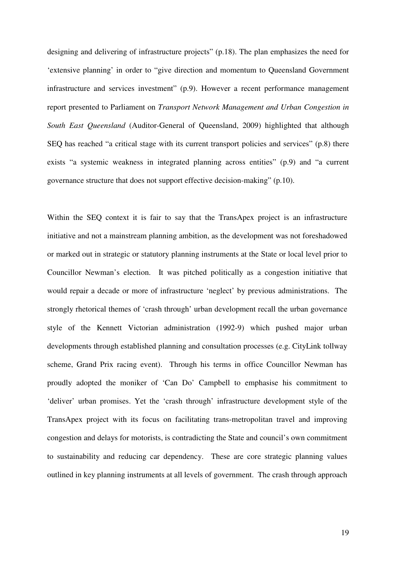designing and delivering of infrastructure projects" (p.18). The plan emphasizes the need for 'extensive planning' in order to "give direction and momentum to Queensland Government infrastructure and services investment" (p.9). However a recent performance management report presented to Parliament on *Transport Network Management and Urban Congestion in South East Queensland* (Auditor-General of Queensland, 2009) highlighted that although SEQ has reached "a critical stage with its current transport policies and services" (p.8) there exists "a systemic weakness in integrated planning across entities" (p.9) and "a current governance structure that does not support effective decision-making" (p.10).

Within the SEQ context it is fair to say that the TransApex project is an infrastructure initiative and not a mainstream planning ambition, as the development was not foreshadowed or marked out in strategic or statutory planning instruments at the State or local level prior to Councillor Newman's election. It was pitched politically as a congestion initiative that would repair a decade or more of infrastructure 'neglect' by previous administrations. The strongly rhetorical themes of 'crash through' urban development recall the urban governance style of the Kennett Victorian administration (1992-9) which pushed major urban developments through established planning and consultation processes (e.g. CityLink tollway scheme, Grand Prix racing event). Through his terms in office Councillor Newman has proudly adopted the moniker of 'Can Do' Campbell to emphasise his commitment to 'deliver' urban promises. Yet the 'crash through' infrastructure development style of the TransApex project with its focus on facilitating trans-metropolitan travel and improving congestion and delays for motorists, is contradicting the State and council's own commitment to sustainability and reducing car dependency. These are core strategic planning values outlined in key planning instruments at all levels of government. The crash through approach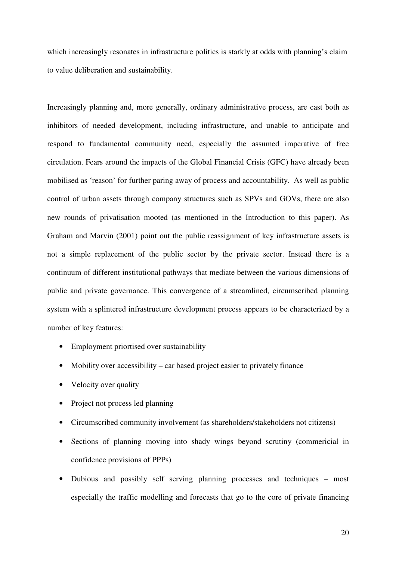which increasingly resonates in infrastructure politics is starkly at odds with planning's claim to value deliberation and sustainability.

Increasingly planning and, more generally, ordinary administrative process, are cast both as inhibitors of needed development, including infrastructure, and unable to anticipate and respond to fundamental community need, especially the assumed imperative of free circulation. Fears around the impacts of the Global Financial Crisis (GFC) have already been mobilised as 'reason' for further paring away of process and accountability. As well as public control of urban assets through company structures such as SPVs and GOVs, there are also new rounds of privatisation mooted (as mentioned in the Introduction to this paper). As Graham and Marvin (2001) point out the public reassignment of key infrastructure assets is not a simple replacement of the public sector by the private sector. Instead there is a continuum of different institutional pathways that mediate between the various dimensions of public and private governance. This convergence of a streamlined, circumscribed planning system with a splintered infrastructure development process appears to be characterized by a number of key features:

- Employment priortised over sustainability
- Mobility over accessibility car based project easier to privately finance
- Velocity over quality
- Project not process led planning
- Circumscribed community involvement (as shareholders/stakeholders not citizens)
- Sections of planning moving into shady wings beyond scrutiny (commericial in confidence provisions of PPPs)
- Dubious and possibly self serving planning processes and techniques most especially the traffic modelling and forecasts that go to the core of private financing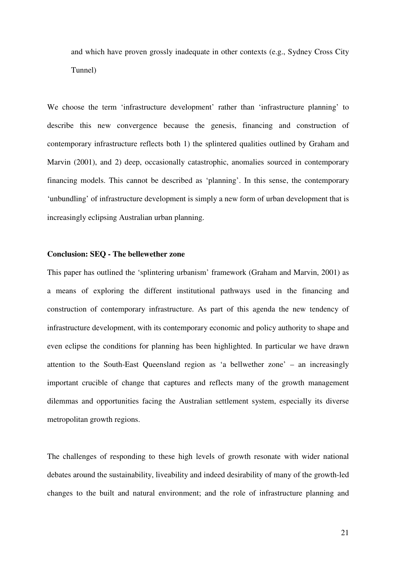and which have proven grossly inadequate in other contexts (e.g., Sydney Cross City Tunnel)

We choose the term 'infrastructure development' rather than 'infrastructure planning' to describe this new convergence because the genesis, financing and construction of contemporary infrastructure reflects both 1) the splintered qualities outlined by Graham and Marvin (2001), and 2) deep, occasionally catastrophic, anomalies sourced in contemporary financing models. This cannot be described as 'planning'. In this sense, the contemporary 'unbundling' of infrastructure development is simply a new form of urban development that is increasingly eclipsing Australian urban planning.

### **Conclusion: SEQ - The bellewether zone**

This paper has outlined the 'splintering urbanism' framework (Graham and Marvin, 2001) as a means of exploring the different institutional pathways used in the financing and construction of contemporary infrastructure. As part of this agenda the new tendency of infrastructure development, with its contemporary economic and policy authority to shape and even eclipse the conditions for planning has been highlighted. In particular we have drawn attention to the South-East Queensland region as 'a bellwether zone' – an increasingly important crucible of change that captures and reflects many of the growth management dilemmas and opportunities facing the Australian settlement system, especially its diverse metropolitan growth regions.

The challenges of responding to these high levels of growth resonate with wider national debates around the sustainability, liveability and indeed desirability of many of the growth-led changes to the built and natural environment; and the role of infrastructure planning and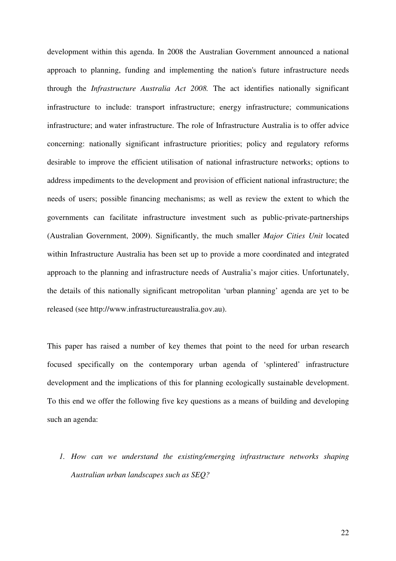development within this agenda. In 2008 the Australian Government announced a national approach to planning, funding and implementing the nation's future infrastructure needs through the *Infrastructure Australia Act 2008.* The act identifies nationally significant infrastructure to include: transport infrastructure; energy infrastructure; communications infrastructure; and water infrastructure. The role of Infrastructure Australia is to offer advice concerning: nationally significant infrastructure priorities; policy and regulatory reforms desirable to improve the efficient utilisation of national infrastructure networks; options to address impediments to the development and provision of efficient national infrastructure; the needs of users; possible financing mechanisms; as well as review the extent to which the governments can facilitate infrastructure investment such as public-private-partnerships (Australian Government, 2009). Significantly, the much smaller *Major Cities Unit* located within Infrastructure Australia has been set up to provide a more coordinated and integrated approach to the planning and infrastructure needs of Australia's major cities. Unfortunately, the details of this nationally significant metropolitan 'urban planning' agenda are yet to be released (see http://www.infrastructureaustralia.gov.au).

This paper has raised a number of key themes that point to the need for urban research focused specifically on the contemporary urban agenda of 'splintered' infrastructure development and the implications of this for planning ecologically sustainable development. To this end we offer the following five key questions as a means of building and developing such an agenda:

*1. How can we understand the existing/emerging infrastructure networks shaping Australian urban landscapes such as SEQ?*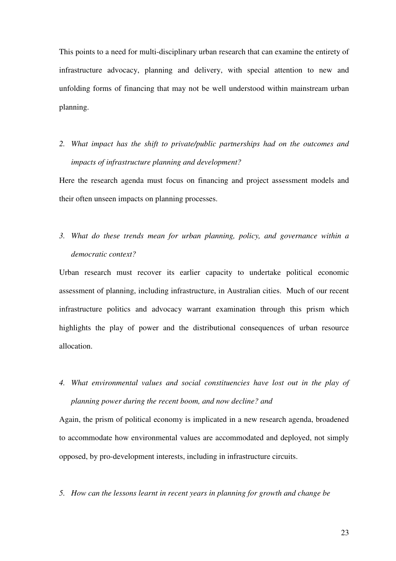This points to a need for multi-disciplinary urban research that can examine the entirety of infrastructure advocacy, planning and delivery, with special attention to new and unfolding forms of financing that may not be well understood within mainstream urban planning.

*2. What impact has the shift to private/public partnerships had on the outcomes and impacts of infrastructure planning and development?*

Here the research agenda must focus on financing and project assessment models and their often unseen impacts on planning processes.

*3. What do these trends mean for urban planning, policy, and governance within a democratic context?*

Urban research must recover its earlier capacity to undertake political economic assessment of planning, including infrastructure, in Australian cities. Much of our recent infrastructure politics and advocacy warrant examination through this prism which highlights the play of power and the distributional consequences of urban resource allocation.

*4. What environmental values and social constituencies have lost out in the play of planning power during the recent boom, and now decline? and*

Again, the prism of political economy is implicated in a new research agenda, broadened to accommodate how environmental values are accommodated and deployed, not simply opposed, by pro-development interests, including in infrastructure circuits.

*5. How can the lessons learnt in recent years in planning for growth and change be*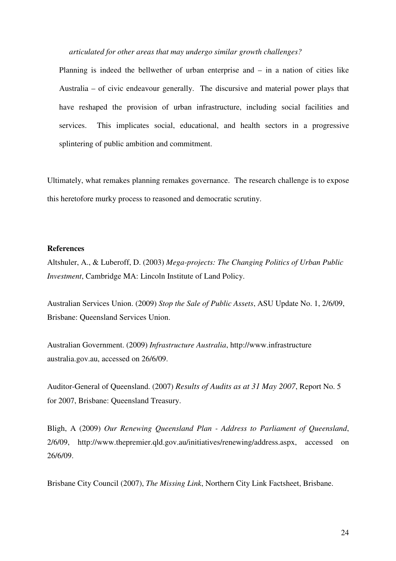*articulated for other areas that may undergo similar growth challenges?*

Planning is indeed the bellwether of urban enterprise and – in a nation of cities like Australia – of civic endeavour generally. The discursive and material power plays that have reshaped the provision of urban infrastructure, including social facilities and services. This implicates social, educational, and health sectors in a progressive splintering of public ambition and commitment.

Ultimately, what remakes planning remakes governance. The research challenge is to expose this heretofore murky process to reasoned and democratic scrutiny.

#### **References**

Altshuler, A., & Luberoff, D. (2003) *Mega-projects: The Changing Politics of Urban Public Investment*, Cambridge MA: Lincoln Institute of Land Policy.

Australian Services Union. (2009) *Stop the Sale of Public Assets*, ASU Update No. 1, 2/6/09, Brisbane: Queensland Services Union.

Australian Government. (2009) *Infrastructure Australia*, http://www.infrastructure australia.gov.au, accessed on 26/6/09.

Auditor-General of Queensland. (2007) *Results of Audits as at 31 May 2007*, Report No. 5 for 2007, Brisbane: Queensland Treasury.

Bligh, A (2009) *Our Renewing Queensland Plan - Address to Parliament of Queensland*, 2/6/09, http://www.thepremier.qld.gov.au/initiatives/renewing/address.aspx, accessed on 26/6/09.

Brisbane City Council (2007), *The Missing Link*, Northern City Link Factsheet, Brisbane.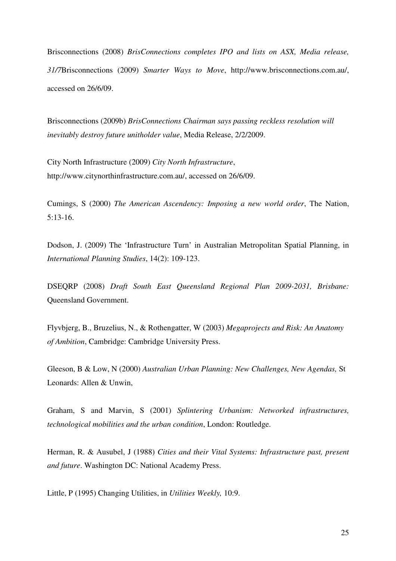Brisconnections (2008) *BrisConnections completes IPO and lists on ASX, Media release, 31/7*Brisconnections (2009) *Smarter Ways to Move*, http://www.brisconnections.com.au/, accessed on 26/6/09.

Brisconnections (2009b) *BrisConnections Chairman says passing reckless resolution will inevitably destroy future unitholder value*, Media Release, 2/2/2009.

City North Infrastructure (2009) *City North Infrastructure*, http://www.citynorthinfrastructure.com.au/, accessed on 26/6/09.

Cumings, S (2000) *The American Ascendency: Imposing a new world order*, The Nation, 5:13-16.

Dodson, J. (2009) The 'Infrastructure Turn' in Australian Metropolitan Spatial Planning, in *International Planning Studies*, 14(2): 109-123.

DSEQRP (2008) *Draft South East Queensland Regional Plan 2009-2031, Brisbane:* Queensland Government.

Flyvbjerg, B., Bruzelius, N., & Rothengatter, W (2003) *Megaprojects and Risk: An Anatomy of Ambition*, Cambridge: Cambridge University Press.

Gleeson, B & Low, N (2000) *Australian Urban Planning: New Challenges, New Agendas,* St Leonards: Allen & Unwin,

Graham, S and Marvin, S (2001) *Splintering Urbanism: Networked infrastructures, technological mobilities and the urban condition*, London: Routledge.

Herman, R. & Ausubel, J (1988) *Cities and their Vital Systems: Infrastructure past, present and future*. Washington DC: National Academy Press.

Little, P (1995) Changing Utilities, in *Utilities Weekly,* 10:9.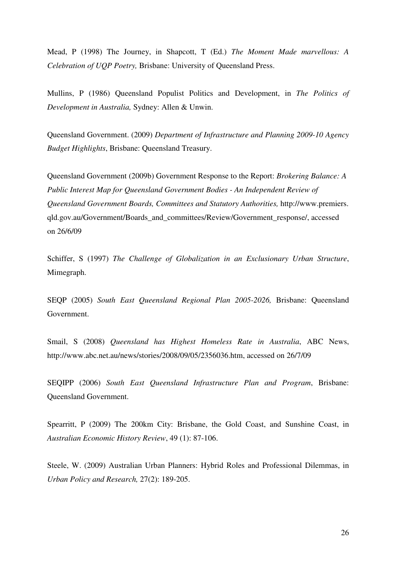Mead, P (1998) The Journey, in Shapcott, T (Ed.) *The Moment Made marvellous: A Celebration of UQP Poetry,* Brisbane: University of Queensland Press.

Mullins, P (1986) Queensland Populist Politics and Development, in *The Politics of Development in Australia,* Sydney: Allen & Unwin.

Queensland Government. (2009) *Department of Infrastructure and Planning 2009-10 Agency Budget Highlights*, Brisbane: Queensland Treasury.

Queensland Government (2009b) Government Response to the Report: *Brokering Balance: A Public Interest Map for Queensland Government Bodies - An Independent Review of Queensland Government Boards, Committees and Statutory Authorities,* http://www.premiers. qld.gov.au/Government/Boards\_and\_committees/Review/Government\_response/, accessed on 26/6/09

Schiffer, S (1997) *The Challenge of Globalization in an Exclusionary Urban Structure*, Mimegraph.

SEQP (2005) *South East Queensland Regional Plan 2005-2026,* Brisbane: Queensland Government.

Smail, S (2008) *Queensland has Highest Homeless Rate in Australia*, ABC News, http://www.abc.net.au/news/stories/2008/09/05/2356036.htm, accessed on 26/7/09

SEQIPP (2006) *South East Queensland Infrastructure Plan and Program*, Brisbane: Queensland Government.

Spearritt, P (2009) The 200km City: Brisbane, the Gold Coast, and Sunshine Coast, in *Australian Economic History Review*, 49 (1): 87-106.

Steele, W. (2009) Australian Urban Planners: Hybrid Roles and Professional Dilemmas, in *Urban Policy and Research,* 27(2): 189-205.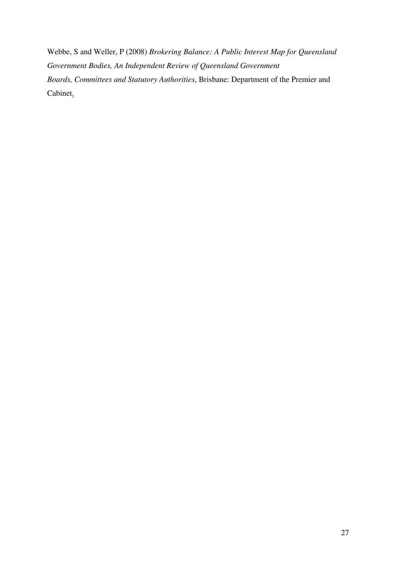Webbe, S and Weller, P (2008) *Brokering Balance: A Public Interest Map for Queensland Government Bodies, An Independent Review of Queensland Government Boards, Committees and Statutory Authorities*, Brisbane: Department of the Premier and Cabinet.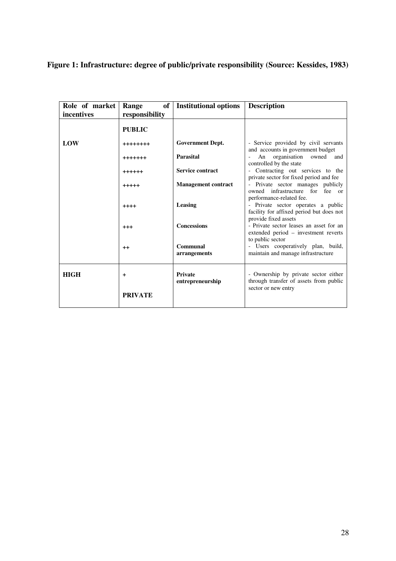# **Figure 1: Infrastructure: degree of public/private responsibility (Source: Kessides, 1983)**

| Role of market<br>incentives | of <sub>1</sub><br>Range<br>responsibility | <b>Institutional options</b>       | <b>Description</b>                                                                                            |
|------------------------------|--------------------------------------------|------------------------------------|---------------------------------------------------------------------------------------------------------------|
|                              | <b>PUBLIC</b>                              |                                    |                                                                                                               |
| LOW                          | ++++++++                                   | <b>Government Dept.</b>            | - Service provided by civil servants                                                                          |
|                              | +++++++                                    | <b>Parasital</b>                   | and accounts in government budget<br>An organisation owned<br>and<br>controlled by the state                  |
|                              | $+++++$                                    | <b>Service contract</b>            | - Contracting out services to the                                                                             |
|                              | $+++++$                                    | <b>Management contract</b>         | private sector for fixed period and fee<br>Private sector manages publicly<br>owned infrastructure for fee or |
|                              | $++++$                                     | Leasing                            | performance-related fee.<br>- Private sector operates a public<br>facility for affixed period but does not    |
|                              | $^{+++}$                                   | <b>Concessions</b>                 | provide fixed assets<br>- Private sector leases an asset for an<br>extended period - investment reverts       |
|                              | $^{++}$                                    | Communal<br>arrangements           | to public sector<br>- Users cooperatively plan, build,<br>maintain and manage infrastructure                  |
| <b>HIGH</b>                  | $\ddot{}$                                  | <b>Private</b><br>entrepreneurship | - Ownership by private sector either<br>through transfer of assets from public<br>sector or new entry         |
|                              | <b>PRIVATE</b>                             |                                    |                                                                                                               |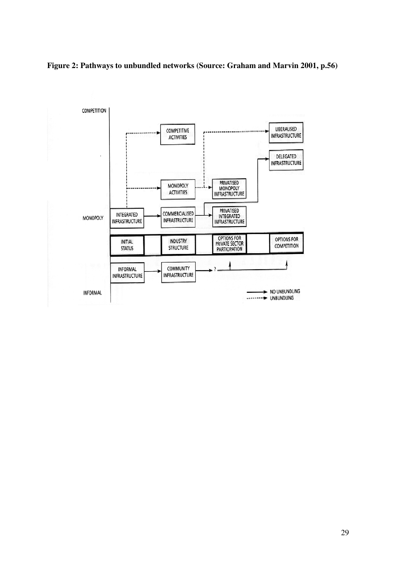